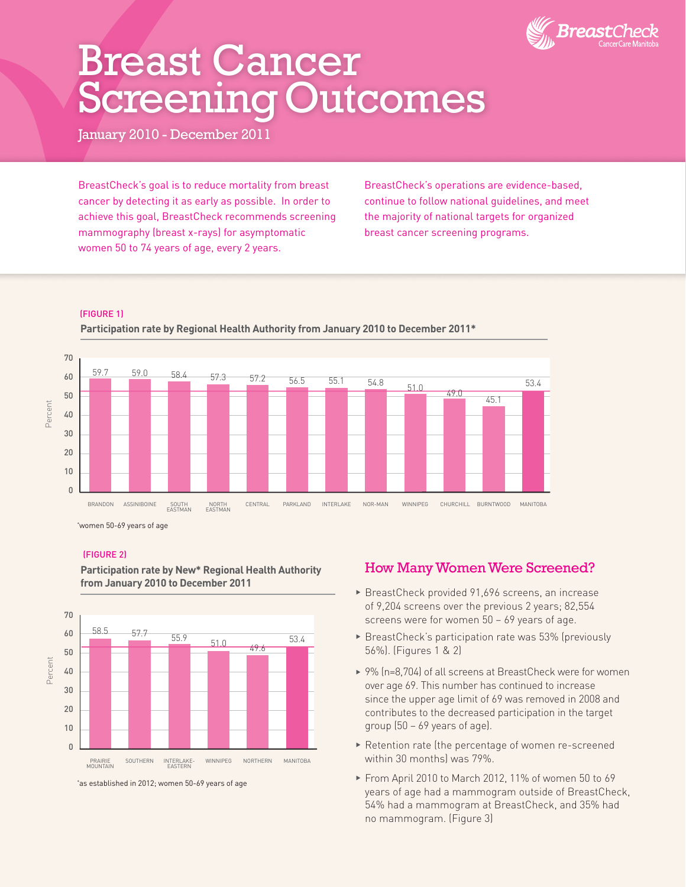

# Breast Cancer Screening Outcomes

January 2010 - December 2011

BreastCheck's goal is to reduce mortality from breast cancer by detecting it as early as possible. In order to achieve this goal, BreastCheck recommends screening mammography (breast x-rays) for asymptomatic women 50 to 74 years of age, every 2 years.

BreastCheck's operations are evidence-based, continue to follow national guidelines, and meet the majority of national targets for organized breast cancer screening programs.

## (FIGURE 1)



\* women 50-69 years of age

#### (FIGURE 2)



**Participation rate by New\* Regional Health Authority from January 2010 to December 2011** 

\* as established in 2012; women 50-69 years of age

## How Many Women Were Screened?

- $\blacktriangleright$  BreastCheck provided 91,696 screens, an increase of 9,204 screens over the previous 2 years; 82,554 screens were for women 50 – 69 years of age.
- $\triangleright$  BreastCheck's participation rate was 53% (previously 56%). (Figures 1 & 2)
- ▶ 9% (n=8,704) of all screens at BreastCheck were for women over age 69. This number has continued to increase since the upper age limit of 69 was removed in 2008 and contributes to the decreased participation in the target group (50 – 69 years of age).
- Retention rate (the percentage of women re-screened within 30 months) was 79%.
- ▶ From April 2010 to March 2012, 11% of women 50 to 69 years of age had a mammogram outside of BreastCheck, 54% had a mammogram at BreastCheck, and 35% had no mammogram. (Figure 3)

**Participation rate by Regional Health Authority from January 2010 to December 2011\***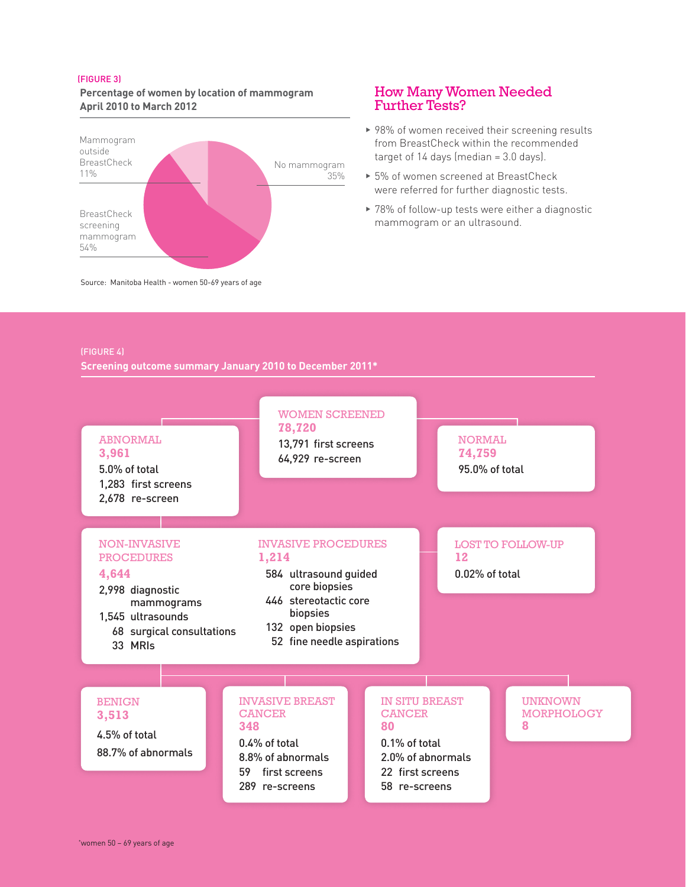#### (FIGURE 3)

**Percentage of women by location of mammogram April 2010 to March 2012**



## How Many Women Needed Further Tests?

- $\rightarrow$  98% of women received their screening results from BreastCheck within the recommended target of  $14$  days (median =  $3.0$  days).
- ▶ 5% of women screened at BreastCheck were referred for further diagnostic tests.
- $\blacktriangleright$  78% of follow-up tests were either a diagnostic mammogram or an ultrasound.

(FIGURE 4)

**Screening outcome summary January 2010 to December 2011\***

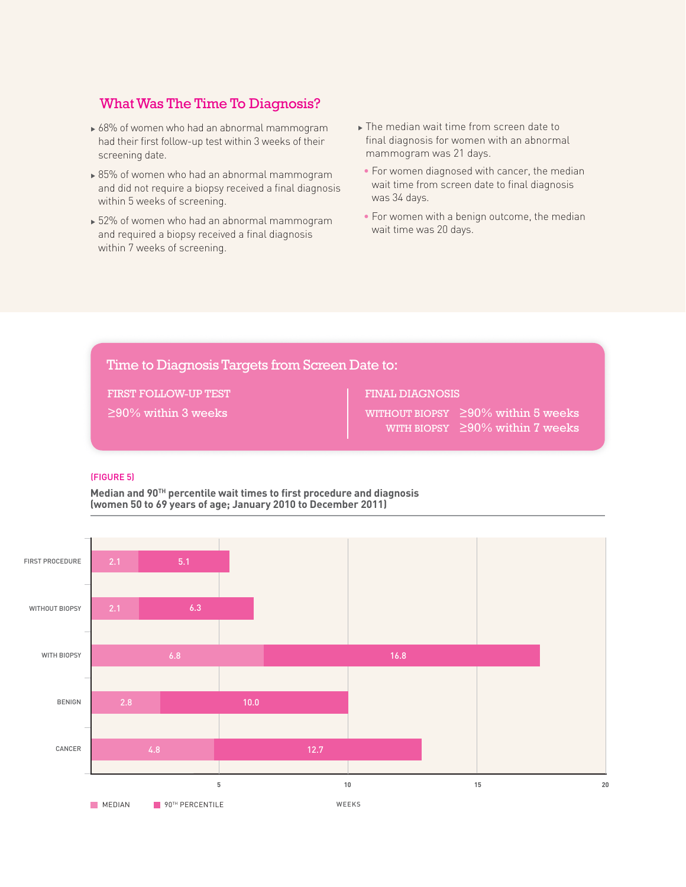## What Was The Time To Diagnosis?

- $\triangleright$  68% of women who had an abnormal mammogram had their first follow-up test within 3 weeks of their screening date.
- $\geq 85\%$  of women who had an abnormal mammogram and did not require a biopsy received a final diagnosis within 5 weeks of screening.
- ▶ 52% of women who had an abnormal mammogram and required a biopsy received a final diagnosis within 7 weeks of screening.
- $\blacktriangleright$  The median wait time from screen date to final diagnosis for women with an abnormal mammogram was 21 days.
- For women diagnosed with cancer, the median wait time from screen date to final diagnosis was 34 days.
- For women with a benign outcome, the median wait time was 20 days.

## Time to Diagnosis Targets from Screen Date to:

FIRST FOLLOW-UP TEST

≥90% within 3 weeks

## FINAL DIAGNOSIS

WITHOUT BIOPSY ≥90% within 5 weeks WITH BIOPSY  $\geq 90\%$  within 7 weeks

### (FIGURE 5)

**Median and 90TH percentile wait times to first procedure and diagnosis (women 50 to 69 years of age; January 2010 to December 2011)**